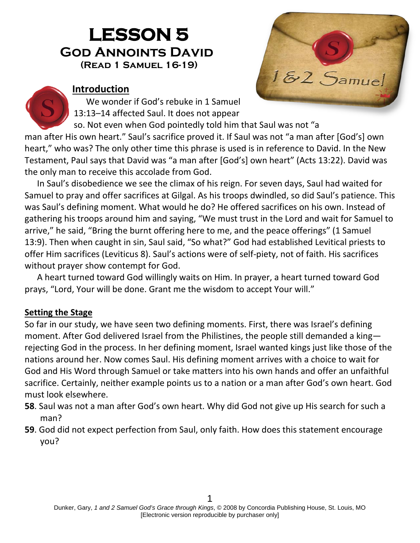# **LESSON 5 God Annoints David(Read 1 Samuel 16-19)**



#### **Introduction**

We wonder if God's rebuke in 1 Samuel 13:13–14 affected Saul. It does not appear

so. Not even when God pointedly told him that Saul was not "a

man after His own heart." Saul's sacrifice proved it. If Saul was not "a man after [God's] own heart," who was? The only other time this phrase is used is in reference to David. In the New Testament, Paul says that David was "a man after [God's] own heart" (Acts 13:22). David was the only man to receive this accolade from God.

In Saul's disobedience we see the climax of his reign. For seven days, Saul had waited for Samuel to pray and offer sacrifices at Gilgal. As his troops dwindled, so did Saul's patience. This was Saul's defining moment. What would he do? He offered sacrifices on his own. Instead of gathering his troops around him and saying, "We must trust in the Lord and wait for Samuel to arrive," he said, "Bring the burnt offering here to me, and the peace offerings" (1 Samuel 13:9). Then when caught in sin, Saul said, "So what?" God had established Levitical priests to offer Him sacrifices (Leviticus 8). Saul's actions were of self-piety, not of faith. His sacrifices without prayer show contempt for God.

A heart turned toward God willingly waits on Him. In prayer, a heart turned toward God prays, "Lord, Your will be done. Grant me the wisdom to accept Your will."

#### **Setting the Stage**

So far in our study, we have seen two defining moments. First, there was Israel's defining moment. After God delivered Israel from the Philistines, the people still demanded a king rejecting God in the process. In her defining moment, Israel wanted kings just like those of the nations around her. Now comes Saul. His defining moment arrives with a choice to wait for God and His Word through Samuel or take matters into his own hands and offer an unfaithful sacrifice. Certainly, neither example points us to a nation or a man after God's own heart. God must look elsewhere.

- **58**. Saul was not a man after God's own heart. Why did God not give up His search for such a man?
- **59**. God did not expect perfection from Saul, only faith. How does this statement encourage you?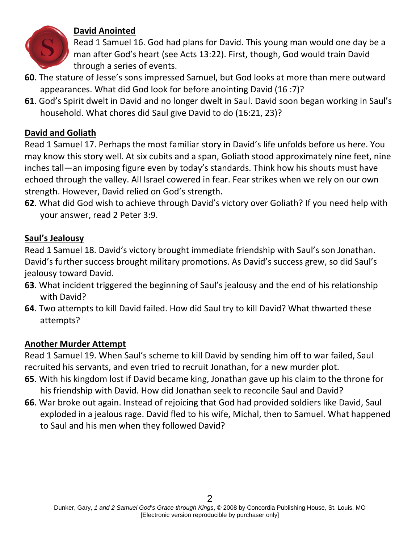

# **David Anointed**

Read 1 Samuel 16. God had plans for David. This young man would one day be a man after God's heart (see Acts 13:22). First, though, God would train David through a series of events.

- **60**. The stature of Jesse's sons impressed Samuel, but God looks at more than mere outward appearances. What did God look for before anointing David (16 :7)?
- **61**. God's Spirit dwelt in David and no longer dwelt in Saul. David soon began working in Saul's household. What chores did Saul give David to do (16:21, 23)?

# **David and Goliath**

Read 1 Samuel 17. Perhaps the most familiar story in David's life unfolds before us here. You may know this story well. At six cubits and a span, Goliath stood approximately nine feet, nine inches tall—an imposing figure even by today's standards. Think how his shouts must have echoed through the valley. All Israel cowered in fear. Fear strikes when we rely on our own strength. However, David relied on God's strength.

**62**. What did God wish to achieve through David's victory over Goliath? If you need help with your answer, read 2 Peter 3:9.

# **Saul's Jealousy**

Read 1 Samuel 18. David's victory brought immediate friendship with Saul's son Jonathan. David's further success brought military promotions. As David's success grew, so did Saul's jealousy toward David.

- **63**. What incident triggered the beginning of Saul's jealousy and the end of his relationship with David?
- **64**. Two attempts to kill David failed. How did Saul try to kill David? What thwarted these attempts?

## **Another Murder Attempt**

Read 1 Samuel 19. When Saul's scheme to kill David by sending him off to war failed, Saul recruited his servants, and even tried to recruit Jonathan, for a new murder plot.

- **65**. With his kingdom lost if David became king, Jonathan gave up his claim to the throne for his friendship with David. How did Jonathan seek to reconcile Saul and David?
- **66**. War broke out again. Instead of rejoicing that God had provided soldiers like David, Saul exploded in a jealous rage. David fled to his wife, Michal, then to Samuel. What happened to Saul and his men when they followed David?